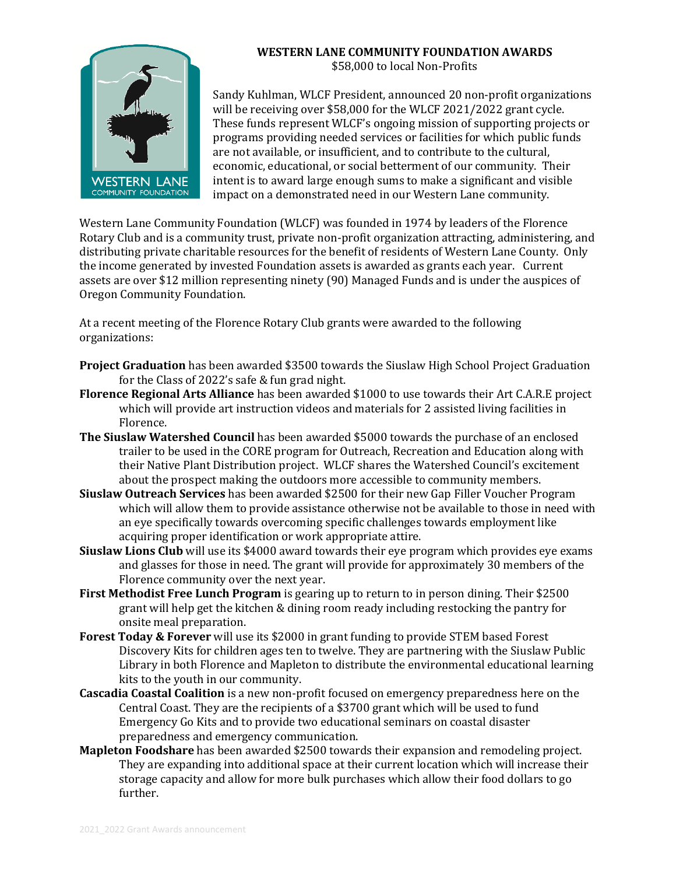

## **WESTERN LANE COMMUNITY FOUNDATION AWARDS**  \$58,000 to local Non-Profits

Sandy Kuhlman, WLCF President, announced 20 non-profit organizations will be receiving over \$58,000 for the WLCF 2021/2022 grant cycle. These funds represent WLCF's ongoing mission of supporting projects or programs providing needed services or facilities for which public funds are not available, or insufficient, and to contribute to the cultural, economic, educational, or social betterment of our community. Their intent is to award large enough sums to make a significant and visible impact on a demonstrated need in our Western Lane community.

Western Lane Community Foundation (WLCF) was founded in 1974 by leaders of the Florence Rotary Club and is a community trust, private non-profit organization attracting, administering, and distributing private charitable resources for the benefit of residents of Western Lane County. Only the income generated by invested Foundation assets is awarded as grants each year. Current assets are over \$12 million representing ninety (90) Managed Funds and is under the auspices of Oregon Community Foundation.

At a recent meeting of the Florence Rotary Club grants were awarded to the following organizations:

- **Project Graduation** has been awarded \$3500 towards the Siuslaw High School Project Graduation for the Class of 2022's safe & fun grad night.
- **Florence Regional Arts Alliance** has been awarded \$1000 to use towards their Art C.A.R.E project which will provide art instruction videos and materials for 2 assisted living facilities in Florence.
- **The Siuslaw Watershed Council** has been awarded \$5000 towards the purchase of an enclosed trailer to be used in the CORE program for Outreach, Recreation and Education along with their Native Plant Distribution project. WLCF shares the Watershed Council's excitement about the prospect making the outdoors more accessible to community members.
- **Siuslaw Outreach Services** has been awarded \$2500 for their new Gap Filler Voucher Program which will allow them to provide assistance otherwise not be available to those in need with an eye specifically towards overcoming specific challenges towards employment like acquiring proper identification or work appropriate attire.
- **Siuslaw Lions Club** will use its \$4000 award towards their eye program which provides eye exams and glasses for those in need. The grant will provide for approximately 30 members of the Florence community over the next year.
- **First Methodist Free Lunch Program** is gearing up to return to in person dining. Their \$2500 grant will help get the kitchen & dining room ready including restocking the pantry for onsite meal preparation.
- **Forest Today & Forever** will use its \$2000 in grant funding to provide STEM based Forest Discovery Kits for children ages ten to twelve. They are partnering with the Siuslaw Public Library in both Florence and Mapleton to distribute the environmental educational learning kits to the youth in our community.
- **Cascadia Coastal Coalition** is a new non-profit focused on emergency preparedness here on the Central Coast. They are the recipients of a \$3700 grant which will be used to fund Emergency Go Kits and to provide two educational seminars on coastal disaster preparedness and emergency communication.
- **Mapleton Foodshare** has been awarded \$2500 towards their expansion and remodeling project. They are expanding into additional space at their current location which will increase their storage capacity and allow for more bulk purchases which allow their food dollars to go further.